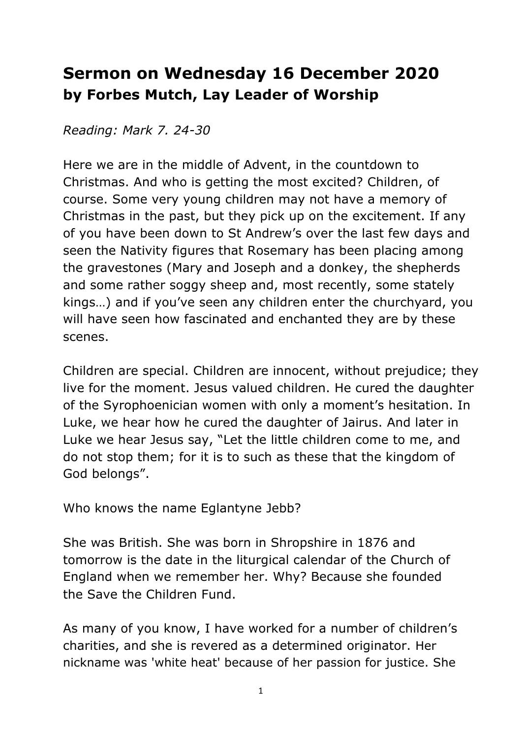## **Sermon on Wednesday 16 December 2020 by Forbes Mutch, Lay Leader of Worship**

*Reading: Mark 7. 24-30*

Here we are in the middle of Advent, in the countdown to Christmas. And who is getting the most excited? Children, of course. Some very young children may not have a memory of Christmas in the past, but they pick up on the excitement. If any of you have been down to St Andrew's over the last few days and seen the Nativity figures that Rosemary has been placing among the gravestones (Mary and Joseph and a donkey, the shepherds and some rather soggy sheep and, most recently, some stately kings…) and if you've seen any children enter the churchyard, you will have seen how fascinated and enchanted they are by these scenes.

Children are special. Children are innocent, without prejudice; they live for the moment. Jesus valued children. He cured the daughter of the Syrophoenician women with only a moment's hesitation. In Luke, we hear how he cured the daughter of Jairus. And later in Luke we hear Jesus say, "Let the little children come to me, and do not stop them; for it is to such as these that the kingdom of God belongs".

Who knows the name Eglantyne Jebb?

She was British. She was born in Shropshire in 1876 and tomorrow is the date in the liturgical calendar of the Church of England when we remember her. Why? Because she founded the Save the Children Fund.

As many of you know, I have worked for a number of children's charities, and she is revered as a determined originator. Her nickname was 'white heat' because of her passion for justice. She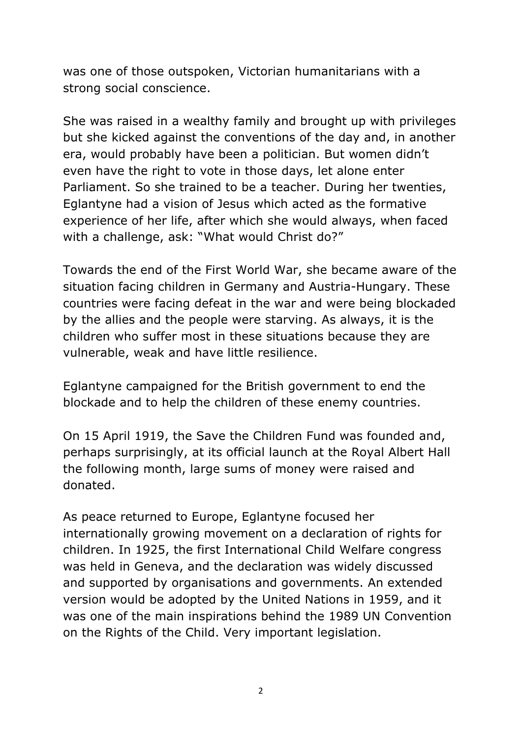was one of those outspoken, Victorian humanitarians with a strong social conscience.

She was raised in a wealthy family and brought up with privileges but she kicked against the conventions of the day and, in another era, would probably have been a politician. But women didn't even have the right to vote in those days, let alone enter Parliament. So she trained to be a teacher. During her twenties, Eglantyne had a vision of Jesus which acted as the formative experience of her life, after which she would always, when faced with a challenge, ask: "What would Christ do?"

Towards the end of the First World War, she became aware of the situation facing children in Germany and Austria-Hungary. These countries were facing defeat in the war and were being blockaded by the allies and the people were starving. As always, it is the children who suffer most in these situations because they are vulnerable, weak and have little resilience.

Eglantyne campaigned for the British government to end the blockade and to help the children of these enemy countries.

On 15 April 1919, the Save the Children Fund was founded and, perhaps surprisingly, at its official launch at the Royal Albert Hall the following month, large sums of money were raised and donated.

As peace returned to Europe, Eglantyne focused her internationally growing movement on a declaration of rights for children. In 1925, the first International Child Welfare congress was held in Geneva, and the declaration was widely discussed and supported by organisations and governments. An extended version would be adopted by the United Nations in 1959, and it was one of the main inspirations behind the 1989 UN Convention on the Rights of the Child. Very important legislation.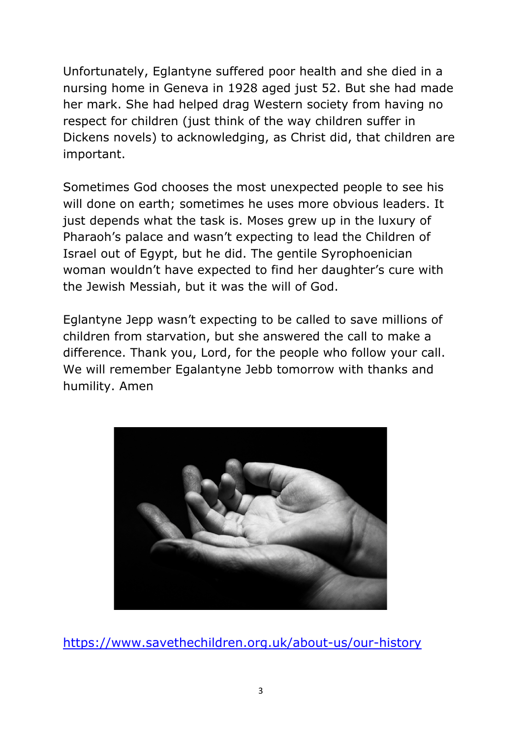Unfortunately, Eglantyne suffered poor health and she died in a nursing home in Geneva in 1928 aged just 52. But she had made her mark. She had helped drag Western society from having no respect for children (just think of the way children suffer in Dickens novels) to acknowledging, as Christ did, that children are important.

Sometimes God chooses the most unexpected people to see his will done on earth; sometimes he uses more obvious leaders. It just depends what the task is. Moses grew up in the luxury of Pharaoh's palace and wasn't expecting to lead the Children of Israel out of Egypt, but he did. The gentile Syrophoenician woman wouldn't have expected to find her daughter's cure with the Jewish Messiah, but it was the will of God.

Eglantyne Jepp wasn't expecting to be called to save millions of children from starvation, but she answered the call to make a difference. Thank you, Lord, for the people who follow your call. We will remember Egalantyne Jebb tomorrow with thanks and humility. Amen



https://www.savethechildren.org.uk/about-us/our-history